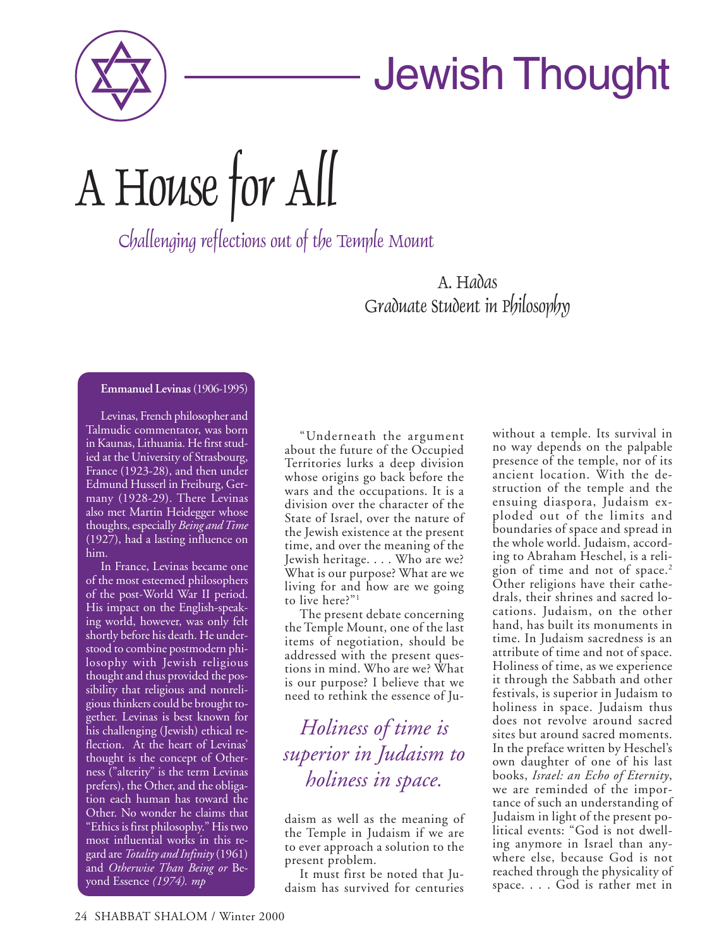

## Jewish Thought

A House for All

Challenging reflections out of the Temple Mount

A. Hadas Graduate Student in Philosophy

## **Emmanuel Levinas** (1906-1995)

Levinas, French philosopher and Talmudic commentator, was born in Kaunas, Lithuania. He first studied at the University of Strasbourg, France (1923-28), and then under Edmund Husserl in Freiburg, Germany (1928-29). There Levinas also met Martin Heidegger whose thoughts, especially *Being and Time* (1927), had a lasting influence on him.

In France, Levinas became one of the most esteemed philosophers of the post-World War II period. His impact on the English-speaking world, however, was only felt shortly before his death. He understood to combine postmodern philosophy with Jewish religious thought and thus provided the possibility that religious and nonreligious thinkers could be brought together. Levinas is best known for his challenging (Jewish) ethical reflection. At the heart of Levinas' thought is the concept of Otherness ("alterity" is the term Levinas prefers), the Other, and the obligation each human has toward the Other. No wonder he claims that "Ethics is first philosophy." His two most influential works in this regard are *Totality and Infinity*(1961) and *Otherwise Than Being or* Beyond Essence *(1974). mp*

"Underneath the argument about the future of the Occupied Territories lurks a deep division whose origins go back before the wars and the occupations. It is a division over the character of the State of Israel, over the nature of the Jewish existence at the present time, and over the meaning of the Jewish heritage. . . . Who are we? What is our purpose? What are we living for and how are we going to live here?"1

The present debate concerning the Temple Mount, one of the last items of negotiation, should be addressed with the present questions in mind. Who are we? What is our purpose? I believe that we need to rethink the essence of Ju-

*Holiness of time is superior in Judaism to holiness in space.*

daism as well as the meaning of the Temple in Judaism if we are to ever approach a solution to the present problem.

It must first be noted that Judaism has survived for centuries without a temple. Its survival in no way depends on the palpable presence of the temple, nor of its ancient location. With the destruction of the temple and the ensuing diaspora, Judaism exploded out of the limits and boundaries of space and spread in the whole world. Judaism, according to Abraham Heschel, is a religion of time and not of space.<sup>2</sup> Other religions have their cathedrals, their shrines and sacred locations. Judaism, on the other hand, has built its monuments in time. In Judaism sacredness is an attribute of time and not of space. Holiness of time, as we experience it through the Sabbath and other festivals, is superior in Judaism to holiness in space. Judaism thus does not revolve around sacred sites but around sacred moments. In the preface written by Heschel's own daughter of one of his last books, *Israel: an Echo of Eternity*, we are reminded of the importance of such an understanding of Judaism in light of the present political events: "God is not dwelling anymore in Israel than anywhere else, because God is not reached through the physicality of space. . . . God is rather met in